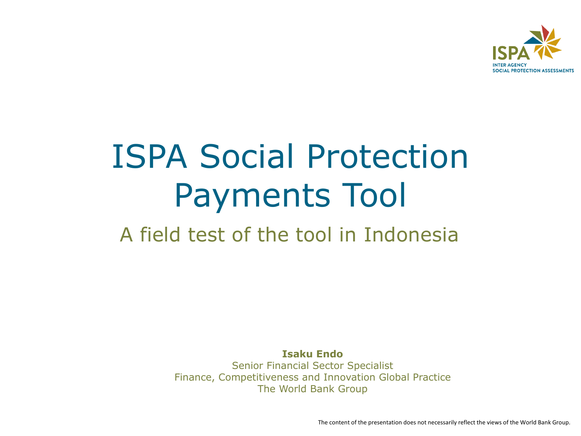

## ISPA Social Protection Payments Tool

A field test of the tool in Indonesia

**Isaku Endo** Senior Financial Sector Specialist Finance, Competitiveness and Innovation Global Practice The World Bank Group

The content of the presentation does not necessarily reflect the views of the World Bank Group.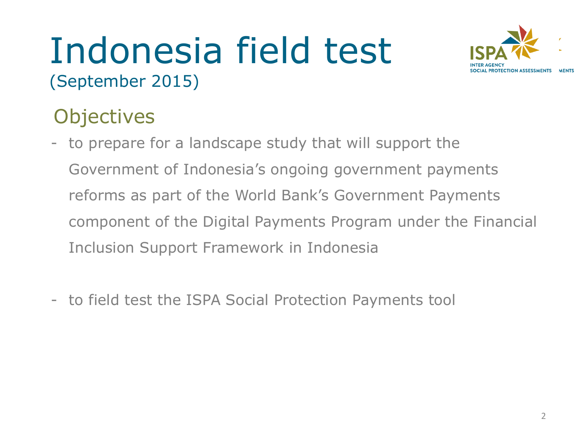### Indonesia field test (September 2015)



#### **Objectives**

- to prepare for a landscape study that will support the Government of Indonesia's ongoing government payments reforms as part of the World Bank's Government Payments component of the Digital Payments Program under the Financial Inclusion Support Framework in Indonesia
- to field test the ISPA Social Protection Payments tool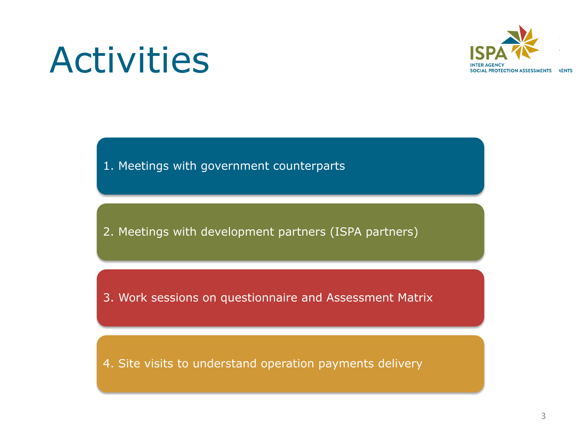

## Activities

1. Meetings with government counterparts

2. Meetings with development partners (ISPA partners)

3. Work sessions on questionnaire and Assessment Matrix

4. Site visits to understand operation payments delivery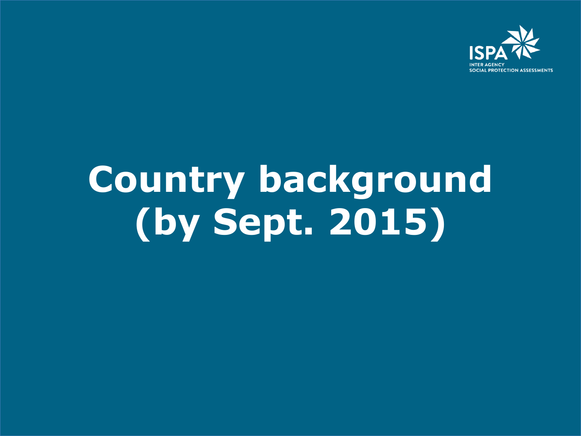

# **Country background (by Sept. 2015)**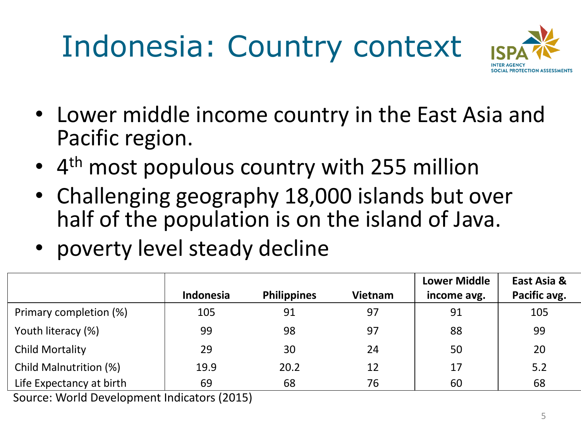## Indonesia: Country context



- Lower middle income country in the East Asia and Pacific region.
- 4<sup>th</sup> most populous country with 255 million
- Challenging geography 18,000 islands but over half of the population is on the island of Java.
- poverty level steady decline

|                                                                       | Indonesia             | <b>Philippines</b> | <b>Vietnam</b> | <b>Lower Middle</b><br>income avg. | East Asia &<br>Pacific avg. |
|-----------------------------------------------------------------------|-----------------------|--------------------|----------------|------------------------------------|-----------------------------|
| Primary completion (%)                                                | 105                   | 91                 | 97             | 91                                 | 105                         |
| Youth literacy (%)                                                    | 99                    | 98                 | 97             | 88                                 | 99                          |
| Child Mortality                                                       | 29                    | 30                 | 24             | 50                                 | 20                          |
| Child Malnutrition (%)                                                | 19.9                  | 20.2               | 12             | 17                                 | 5.2                         |
| Life Expectancy at birth<br>$\sim$ $\sim$ $\sim$ $\sim$ $\sim$ $\sim$ | 69<br>$\sqrt{2}$<br>. | 68                 | 76             | 60                                 | 68                          |

Source: World Development Indicators (2015)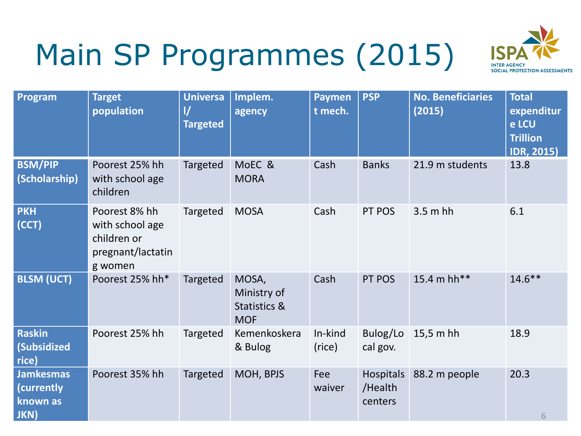## Main SP Programmes (2015)



| Program                                            | <b>Target</b><br>population                                                     | <b>Universa</b><br>$\mathcal{U}$<br><b>Targeted</b> | Implem.<br>agency                                             | <b>Paymen</b><br>t mech. | <b>PSP</b>                             | <b>No. Beneficiaries</b><br>(2015) | <b>Total</b><br>expenditur<br>e LCU<br><b>Trillion</b><br><b>IDR, 2015)</b> |
|----------------------------------------------------|---------------------------------------------------------------------------------|-----------------------------------------------------|---------------------------------------------------------------|--------------------------|----------------------------------------|------------------------------------|-----------------------------------------------------------------------------|
| <b>BSM/PIP</b><br>(Scholarship)                    | Poorest 25% hh<br>with school age<br>children                                   | <b>Targeted</b>                                     | MoEC &<br><b>MORA</b>                                         | Cash                     | <b>Banks</b>                           | 21.9 m students                    | 13.8                                                                        |
| <b>PKH</b><br>(CCT)                                | Poorest 8% hh<br>with school age<br>children or<br>pregnant/lactatin<br>g women | Targeted                                            | <b>MOSA</b>                                                   | Cash                     | PT POS                                 | $3.5m$ hh                          | 6.1                                                                         |
| <b>BLSM (UCT)</b>                                  | Poorest 25% hh*                                                                 | Targeted                                            | MOSA,<br>Ministry of<br><b>Statistics &amp;</b><br><b>MOF</b> | Cash                     | PT POS                                 | 15.4 m hh**                        | $14.6***$                                                                   |
| <b>Raskin</b><br><b>(Subsidized</b><br>rice)       | Poorest 25% hh                                                                  | Targeted                                            | Kemenkoskera<br>& Bulog                                       | In-kind<br>(rice)        | Bulog/Lo<br>cal gov.                   | $15,5$ m hh                        | 18.9                                                                        |
| <b>Jamkesmas</b><br>(currently<br>known as<br>JKN) | Poorest 35% hh                                                                  | Targeted                                            | MOH, BPJS                                                     | Fee<br>waiver            | <b>Hospitals</b><br>/Health<br>centers | 88.2 m people                      | 20.3<br>6                                                                   |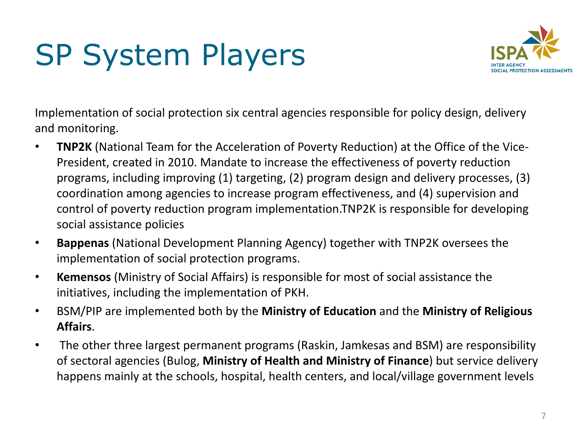## SP System Players



Implementation of social protection six central agencies responsible for policy design, delivery and monitoring.

- **TNP2K** (National Team for the Acceleration of Poverty Reduction) at the Office of the Vice-President, created in 2010. Mandate to increase the effectiveness of poverty reduction programs, including improving (1) targeting, (2) program design and delivery processes, (3) coordination among agencies to increase program effectiveness, and (4) supervision and control of poverty reduction program implementation.TNP2K is responsible for developing social assistance policies
- **Bappenas** (National Development Planning Agency) together with TNP2K oversees the implementation of social protection programs.
- **Kemensos** (Ministry of Social Affairs) is responsible for most of social assistance the initiatives, including the implementation of PKH.
- BSM/PIP are implemented both by the **Ministry of Education** and the **Ministry of Religious Affairs**.
- The other three largest permanent programs (Raskin, Jamkesas and BSM) are responsibility of sectoral agencies (Bulog, **Ministry of Health and Ministry of Finance**) but service delivery happens mainly at the schools, hospital, health centers, and local/village government levels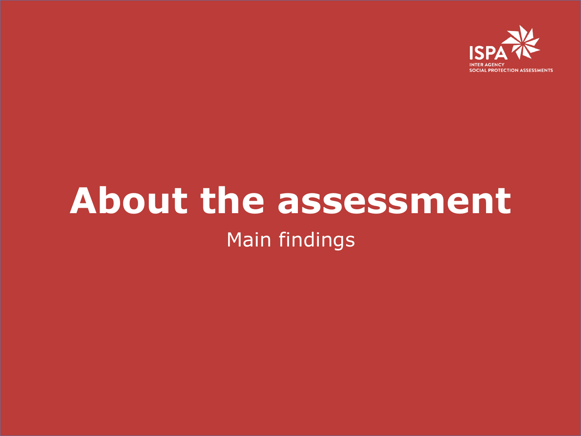

### **About the assessment**  Main findings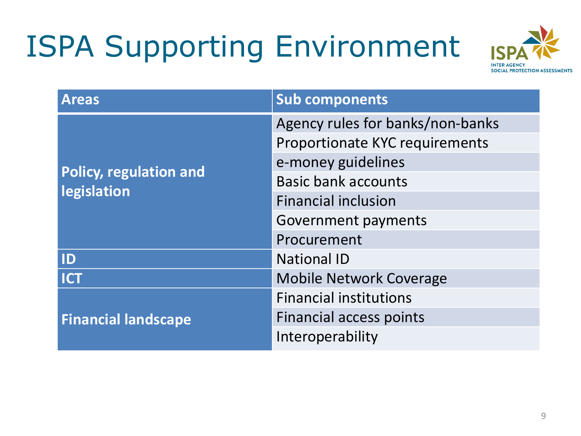## ISPA Supporting Environment



| <b>Areas</b>                  | <b>Sub components</b>            |  |  |  |
|-------------------------------|----------------------------------|--|--|--|
|                               | Agency rules for banks/non-banks |  |  |  |
|                               | Proportionate KYC requirements   |  |  |  |
|                               | e-money guidelines               |  |  |  |
| <b>Policy, regulation and</b> | <b>Basic bank accounts</b>       |  |  |  |
| legislation                   | <b>Financial inclusion</b>       |  |  |  |
|                               | <b>Government payments</b>       |  |  |  |
|                               | Procurement                      |  |  |  |
| ID                            | <b>National ID</b>               |  |  |  |
| <b>ICT</b>                    | <b>Mobile Network Coverage</b>   |  |  |  |
|                               | <b>Financial institutions</b>    |  |  |  |
| <b>Financial landscape</b>    | <b>Financial access points</b>   |  |  |  |
|                               | Interoperability                 |  |  |  |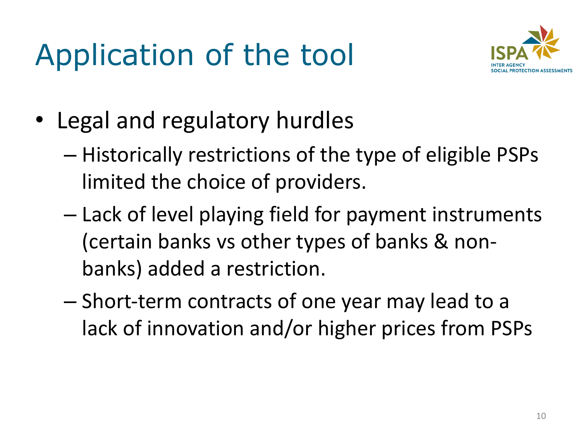## Application of the tool



- Legal and regulatory hurdles
	- Historically restrictions of the type of eligible PSPs limited the choice of providers.
	- Lack of level playing field for payment instruments (certain banks vs other types of banks & nonbanks) added a restriction.
	- Short-term contracts of one year may lead to a lack of innovation and/or higher prices from PSPs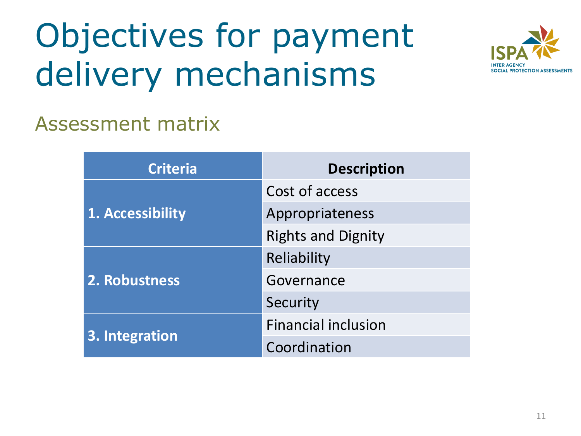# Objectives for payment delivery mechanisms



#### Assessment matrix

| <b>Criteria</b>  | <b>Description</b>         |  |
|------------------|----------------------------|--|
|                  | Cost of access             |  |
| 1. Accessibility | Appropriateness            |  |
|                  | <b>Rights and Dignity</b>  |  |
|                  | Reliability                |  |
| 2. Robustness    | Governance                 |  |
|                  | Security                   |  |
|                  | <b>Financial inclusion</b> |  |
| 3. Integration   | Coordination               |  |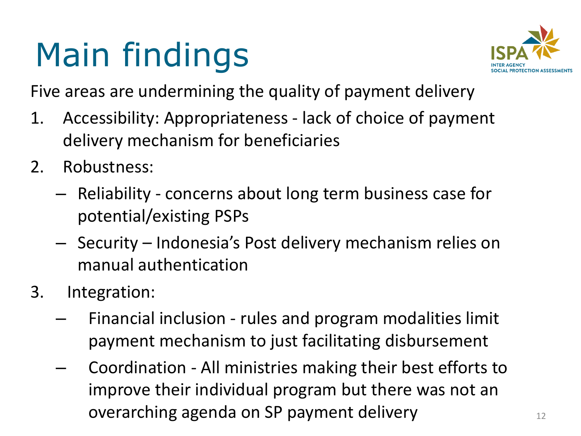# Main findings



Five areas are undermining the quality of payment delivery

- 1. Accessibility: Appropriateness lack of choice of payment delivery mechanism for beneficiaries
- 2. Robustness:
	- Reliability concerns about long term business case for potential/existing PSPs
	- Security Indonesia's Post delivery mechanism relies on manual authentication
- 3. Integration:
	- Financial inclusion rules and program modalities limit payment mechanism to just facilitating disbursement
	- Coordination All ministries making their best efforts to improve their individual program but there was not an overarching agenda on SP payment delivery  $12$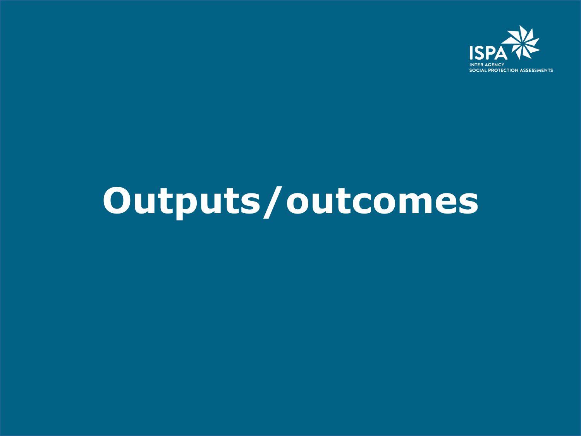

## **Outputs/outcomes**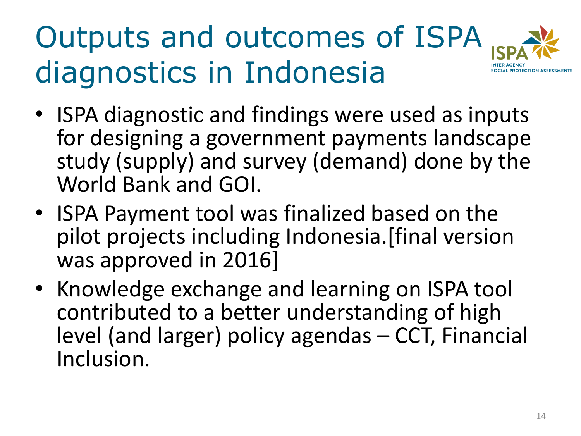## Outputs and outcomes of ISPA diagnostics in Indonesia



- ISPA diagnostic and findings were used as inputs for designing a government payments landscape study (supply) and survey (demand) done by the World Bank and GOI.
- ISPA Payment tool was finalized based on the pilot projects including Indonesia.[final version was approved in 2016]
- Knowledge exchange and learning on ISPA tool contributed to a better understanding of high level (and larger) policy agendas – CCT, Financial Inclusion.